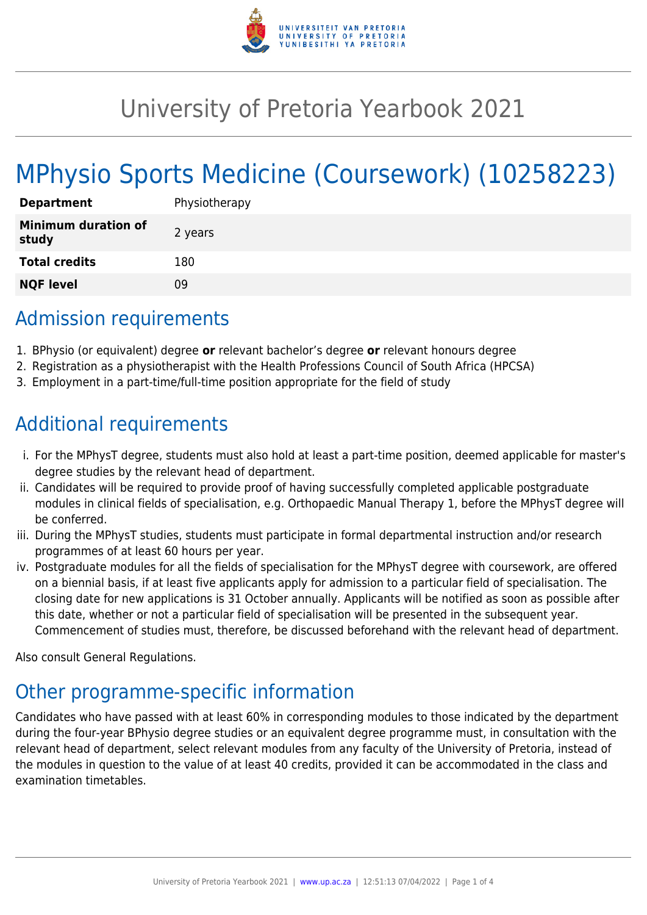

# University of Pretoria Yearbook 2021

# MPhysio Sports Medicine (Coursework) (10258223)

| <b>Department</b>                   | Physiotherapy |
|-------------------------------------|---------------|
| <b>Minimum duration of</b><br>study | 2 years       |
| <b>Total credits</b>                | 180           |
| <b>NQF level</b>                    | Ωd            |

### Admission requirements

- 1. BPhysio (or equivalent) degree **or** relevant bachelor's degree **or** relevant honours degree
- 2. Registration as a physiotherapist with the Health Professions Council of South Africa (HPCSA)
- 3. Employment in a part-time/full-time position appropriate for the field of study

### Additional requirements

- i. For the MPhysT degree, students must also hold at least a part-time position, deemed applicable for master's degree studies by the relevant head of department.
- ii. Candidates will be required to provide proof of having successfully completed applicable postgraduate modules in clinical fields of specialisation, e.g. Orthopaedic Manual Therapy 1, before the MPhysT degree will be conferred.
- iii. During the MPhysT studies, students must participate in formal departmental instruction and/or research programmes of at least 60 hours per year.
- iv. Postgraduate modules for all the fields of specialisation for the MPhysT degree with coursework, are offered on a biennial basis, if at least five applicants apply for admission to a particular field of specialisation. The closing date for new applications is 31 October annually. Applicants will be notified as soon as possible after this date, whether or not a particular field of specialisation will be presented in the subsequent year. Commencement of studies must, therefore, be discussed beforehand with the relevant head of department.

Also consult General Regulations.

## Other programme-specific information

Candidates who have passed with at least 60% in corresponding modules to those indicated by the department during the four-year BPhysio degree studies or an equivalent degree programme must, in consultation with the relevant head of department, select relevant modules from any faculty of the University of Pretoria, instead of the modules in question to the value of at least 40 credits, provided it can be accommodated in the class and examination timetables.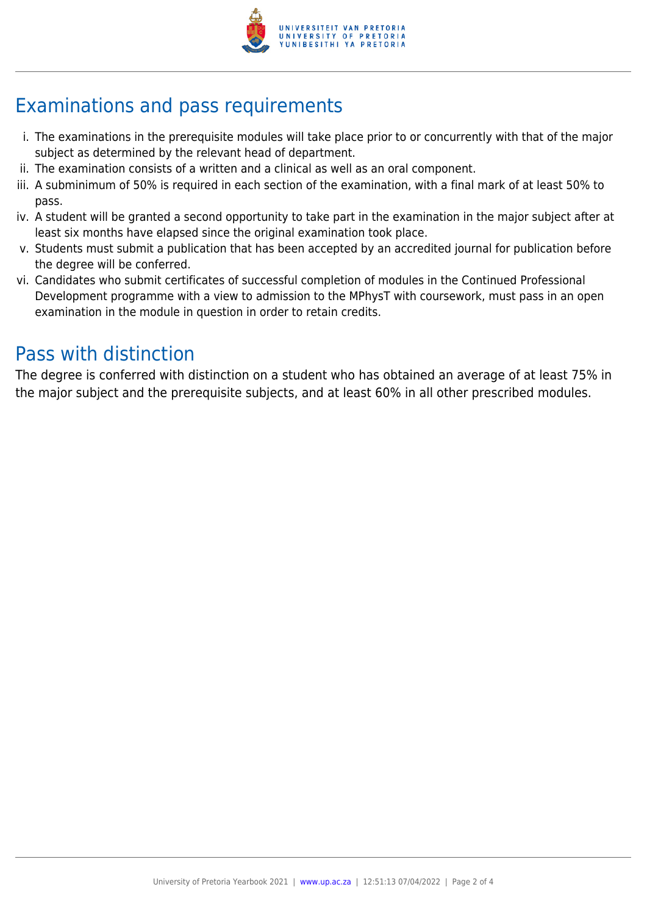

## Examinations and pass requirements

- i. The examinations in the prerequisite modules will take place prior to or concurrently with that of the major subject as determined by the relevant head of department.
- ii. The examination consists of a written and a clinical as well as an oral component.
- iii. A subminimum of 50% is required in each section of the examination, with a final mark of at least 50% to pass.
- iv. A student will be granted a second opportunity to take part in the examination in the major subject after at least six months have elapsed since the original examination took place.
- v. Students must submit a publication that has been accepted by an accredited journal for publication before the degree will be conferred.
- vi. Candidates who submit certificates of successful completion of modules in the Continued Professional Development programme with a view to admission to the MPhysT with coursework, must pass in an open examination in the module in question in order to retain credits.

### Pass with distinction

The degree is conferred with distinction on a student who has obtained an average of at least 75% in the major subject and the prerequisite subjects, and at least 60% in all other prescribed modules.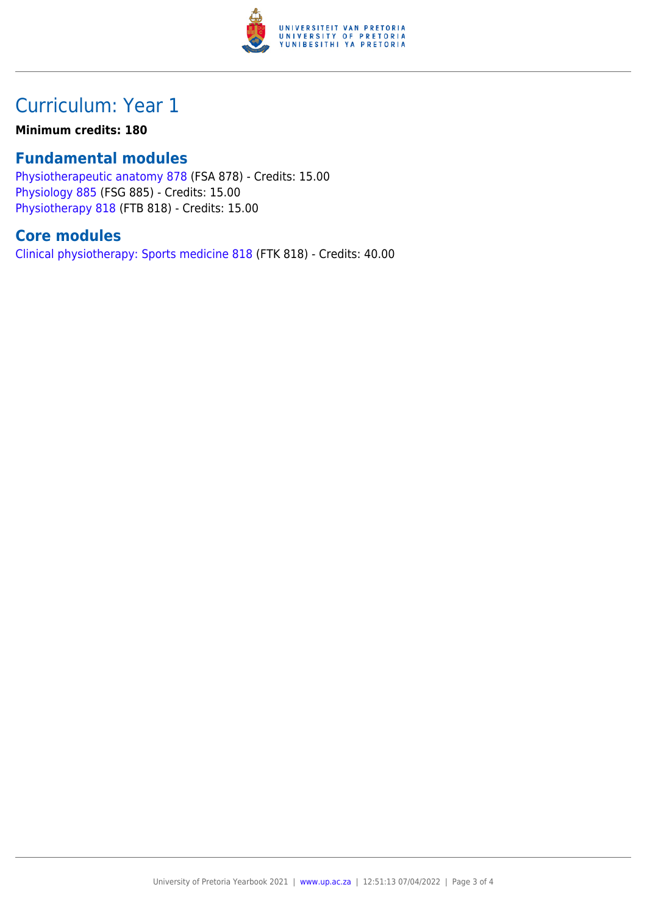

### Curriculum: Year 1

#### **Minimum credits: 180**

#### **Fundamental modules**

[Physiotherapeutic anatomy 878](https://www.up.ac.za/yearbooks/2021/modules/view/FSA 878) (FSA 878) - Credits: 15.00 [Physiology 885](https://www.up.ac.za/yearbooks/2021/modules/view/FSG 885) (FSG 885) - Credits: 15.00 [Physiotherapy 818](https://www.up.ac.za/yearbooks/2021/modules/view/FTB 818) (FTB 818) - Credits: 15.00

#### **Core modules**

[Clinical physiotherapy: Sports medicine 818](https://www.up.ac.za/yearbooks/2021/modules/view/FTK 818) (FTK 818) - Credits: 40.00